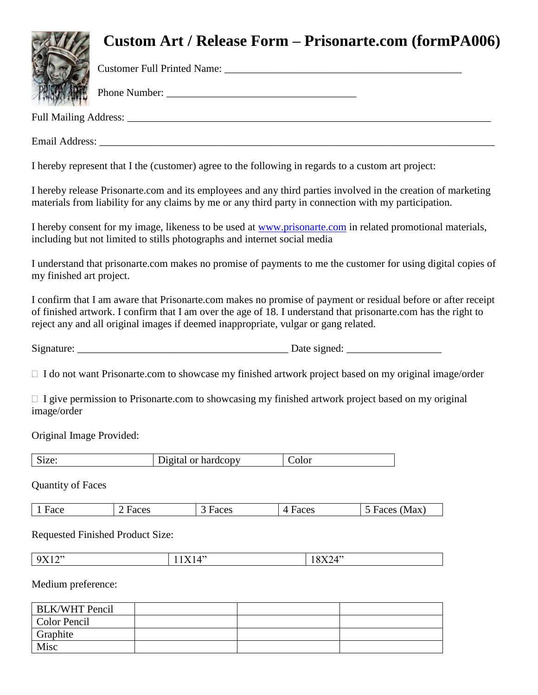## **Custom Art / Release Form – Prisonarte.com (formPA006)**



Customer Full Printed Name:

Phone Number:

Full Mailing Address: \_\_\_\_\_\_\_\_\_\_\_\_\_\_\_\_\_\_\_\_\_\_\_\_\_\_\_\_\_\_\_\_\_\_\_\_\_\_\_\_\_\_\_\_\_\_\_\_\_\_\_\_\_\_\_\_\_\_\_\_\_\_\_\_\_\_\_\_\_

Email Address:

I hereby represent that I the (customer) agree to the following in regards to a custom art project:

I hereby release Prisonarte.com and its employees and any third parties involved in the creation of marketing materials from liability for any claims by me or any third party in connection with my participation.

I hereby consent for my image, likeness to be used at [www.prisonarte.com](http://www.prisonarte.com/) in related promotional materials, including but not limited to stills photographs and internet social media

I understand that prisonarte.com makes no promise of payments to me the customer for using digital copies of my finished art project.

I confirm that I am aware that Prisonarte.com makes no promise of payment or residual before or after receipt of finished artwork. I confirm that I am over the age of 18. I understand that prisonarte.com has the right to reject any and all original images if deemed inappropriate, vulgar or gang related.

Signature:  $\Box$  Date signed:

 $\Box$  I do not want Prisonarte.com to showcase my finished artwork project based on my original image/order

 $\Box$  I give permission to Prisonarte.com to showcasing my finished artwork project based on my original image/order

Original Image Provided:

| Size: | Digital or hardcopy | Color |
|-------|---------------------|-------|
|       |                     |       |

Quantity of Faces

| $\sim$<br>1 Face<br>-20°<br>и<br>71 A<br>71<br>.<br>.<br>.<br>. |
|-----------------------------------------------------------------|
|-----------------------------------------------------------------|

Requested Finished Product Size:

| ,,,<br>. .<br>--- | $\prime\prime$ | $\sqrt{ }$<br> |
|-------------------|----------------|----------------|
|                   |                |                |

Medium preference:

| <b>BLK/WHT Pencil</b> |  |  |
|-----------------------|--|--|
| Color Pencil          |  |  |
| Graphite              |  |  |
| Misc                  |  |  |